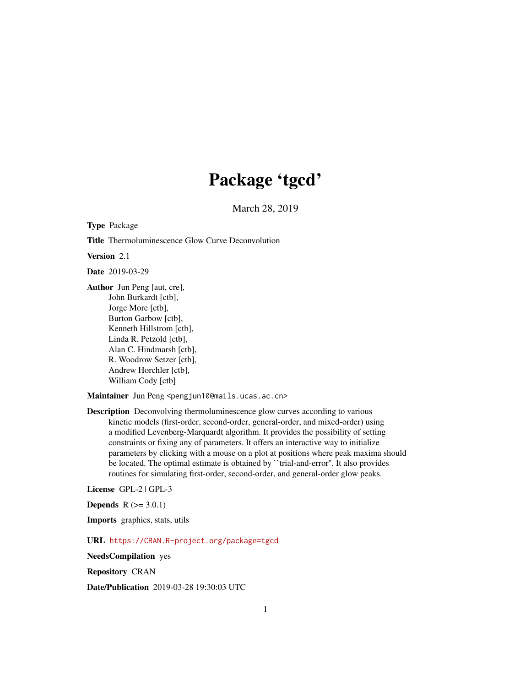# Package 'tgcd'

March 28, 2019

<span id="page-0-0"></span>Type Package

Title Thermoluminescence Glow Curve Deconvolution

Version 2.1

Date 2019-03-29

Author Jun Peng [aut, cre], John Burkardt [ctb], Jorge More [ctb], Burton Garbow [ctb], Kenneth Hillstrom [ctb], Linda R. Petzold [ctb], Alan C. Hindmarsh [ctb], R. Woodrow Setzer [ctb], Andrew Horchler [ctb], William Cody [ctb]

Maintainer Jun Peng <pengjun10@mails.ucas.ac.cn>

Description Deconvolving thermoluminescence glow curves according to various kinetic models (first-order, second-order, general-order, and mixed-order) using a modified Levenberg-Marquardt algorithm. It provides the possibility of setting constraints or fixing any of parameters. It offers an interactive way to initialize parameters by clicking with a mouse on a plot at positions where peak maxima should be located. The optimal estimate is obtained by ``trial-and-error''. It also provides routines for simulating first-order, second-order, and general-order glow peaks.

License GPL-2 | GPL-3

**Depends**  $R (= 3.0.1)$ 

Imports graphics, stats, utils

URL <https://CRAN.R-project.org/package=tgcd>

NeedsCompilation yes

Repository CRAN

Date/Publication 2019-03-28 19:30:03 UTC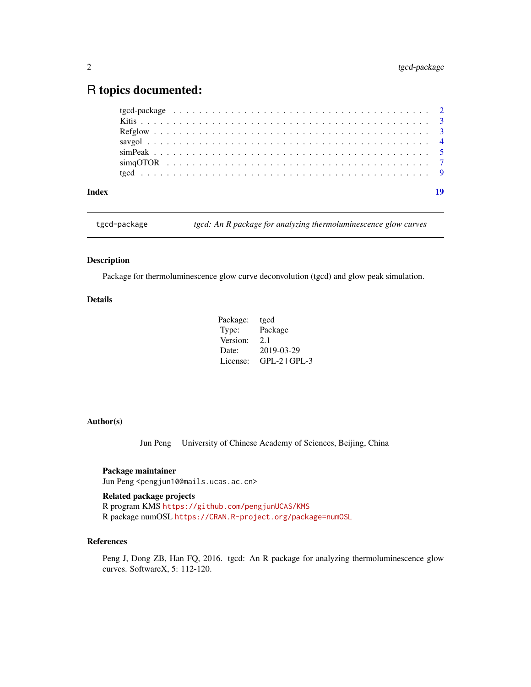## <span id="page-1-0"></span>R topics documented:

| Index |  |  |  |  |  |  |  |  |  |  |  |  |  |  |  |  |  |  | 19 |
|-------|--|--|--|--|--|--|--|--|--|--|--|--|--|--|--|--|--|--|----|
|       |  |  |  |  |  |  |  |  |  |  |  |  |  |  |  |  |  |  |    |
|       |  |  |  |  |  |  |  |  |  |  |  |  |  |  |  |  |  |  |    |
|       |  |  |  |  |  |  |  |  |  |  |  |  |  |  |  |  |  |  |    |
|       |  |  |  |  |  |  |  |  |  |  |  |  |  |  |  |  |  |  |    |
|       |  |  |  |  |  |  |  |  |  |  |  |  |  |  |  |  |  |  |    |
|       |  |  |  |  |  |  |  |  |  |  |  |  |  |  |  |  |  |  |    |
|       |  |  |  |  |  |  |  |  |  |  |  |  |  |  |  |  |  |  |    |

tgcd-package *tgcd: An R package for analyzing thermoluminescence glow curves*

#### **Description**

Package for thermoluminescence glow curve deconvolution (tgcd) and glow peak simulation.

#### Details

| Package: | tgcd            |
|----------|-----------------|
| Type:    | Package         |
| Version: | 2.1             |
| Date:    | 2019-03-29      |
| License: | $GPL-2$ $GPL-3$ |

#### Author(s)

Jun Peng University of Chinese Academy of Sciences, Beijing, China

#### Package maintainer

Jun Peng <pengjun10@mails.ucas.ac.cn>

#### Related package projects

R program KMS <https://github.com/pengjunUCAS/KMS> R package numOSL <https://CRAN.R-project.org/package=numOSL>

### References

Peng J, Dong ZB, Han FQ, 2016. tgcd: An R package for analyzing thermoluminescence glow curves. SoftwareX, 5: 112-120.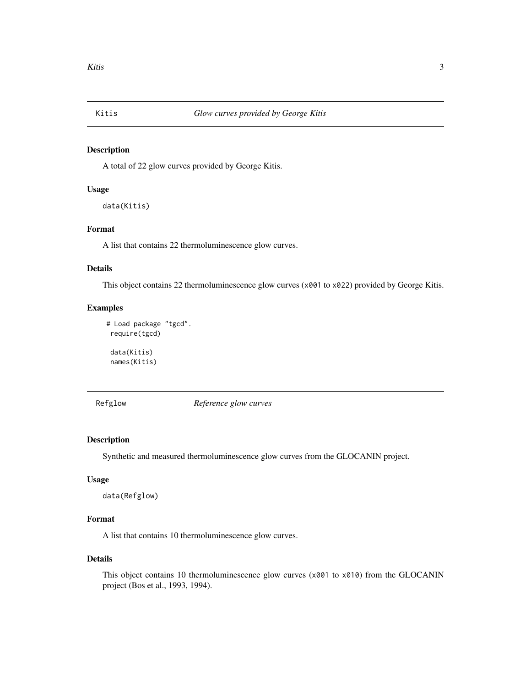<span id="page-2-0"></span>

#### Description

A total of 22 glow curves provided by George Kitis.

#### Usage

```
data(Kitis)
```
#### Format

A list that contains 22 thermoluminescence glow curves.

#### Details

This object contains 22 thermoluminescence glow curves (x001 to x022) provided by George Kitis.

#### Examples

```
# Load package "tgcd".
 require(tgcd)
 data(Kitis)
```
names(Kitis)

Refglow *Reference glow curves*

#### Description

Synthetic and measured thermoluminescence glow curves from the GLOCANIN project.

#### Usage

data(Refglow)

#### Format

A list that contains 10 thermoluminescence glow curves.

#### Details

This object contains 10 thermoluminescence glow curves (x001 to x010) from the GLOCANIN project (Bos et al., 1993, 1994).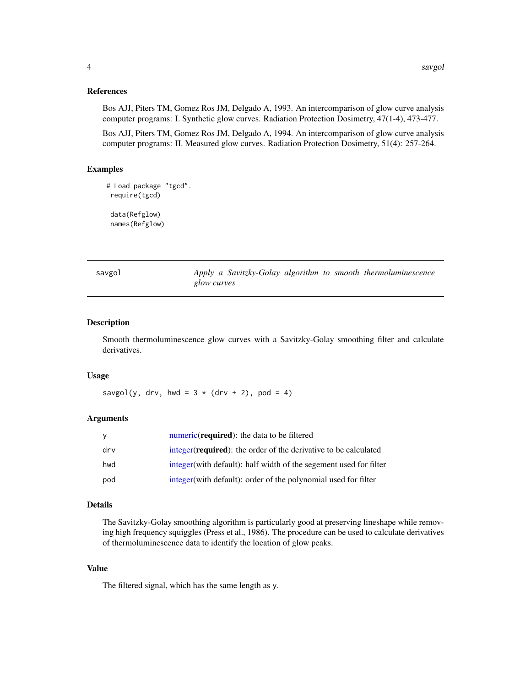#### <span id="page-3-0"></span>References

Bos AJJ, Piters TM, Gomez Ros JM, Delgado A, 1993. An intercomparison of glow curve analysis computer programs: I. Synthetic glow curves. Radiation Protection Dosimetry, 47(1-4), 473-477.

Bos AJJ, Piters TM, Gomez Ros JM, Delgado A, 1994. An intercomparison of glow curve analysis computer programs: II. Measured glow curves. Radiation Protection Dosimetry, 51(4): 257-264.

#### Examples

```
# Load package "tgcd".
require(tgcd)
data(Refglow)
names(Refglow)
```
<span id="page-3-1"></span>savgol *Apply a Savitzky-Golay algorithm to smooth thermoluminescence glow curves*

#### Description

Smooth thermoluminescence glow curves with a Savitzky-Golay smoothing filter and calculate derivatives.

#### Usage

savgol(y, drv, hwd =  $3 * (drv + 2)$ , pod = 4)

#### Arguments

| y   | numeric ( <b>required</b> ): the data to be filtered                      |
|-----|---------------------------------------------------------------------------|
| drv | integer ( <b>required</b> ): the order of the derivative to be calculated |
| hwd | integer (with default): half width of the segement used for filter        |
| pod | integer (with default): order of the polynomial used for filter           |

#### Details

The Savitzky-Golay smoothing algorithm is particularly good at preserving lineshape while removing high frequency squiggles (Press et al., 1986). The procedure can be used to calculate derivatives of thermoluminescence data to identify the location of glow peaks.

#### Value

The filtered signal, which has the same length as y.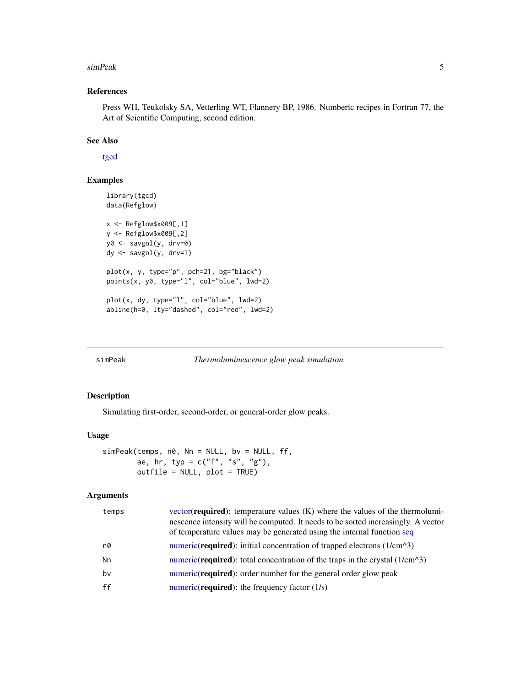#### <span id="page-4-0"></span>simPeak 5

#### References

Press WH, Teukolsky SA, Vetterling WT, Flannery BP, 1986. Numberic recipes in Fortran 77, the Art of Scientific Computing, second edition.

#### See Also

[tgcd](#page-8-1)

### Examples

```
library(tgcd)
data(Refglow)
x <- Refglow$x009[,1]
y <- Refglow$x009[,2]
y0 <- savgol(y, drv=0)
dy <- savgol(y, drv=1)
plot(x, y, type="p", pch=21, bg="black")
points(x, y0, type="l", col="blue", lwd=2)
plot(x, dy, type="l", col="blue", lwd=2)
abline(h=0, lty="dashed", col="red", lwd=2)
```
<span id="page-4-1"></span>simPeak *Thermoluminescence glow peak simulation*

#### Description

Simulating first-order, second-order, or general-order glow peaks.

#### Usage

```
simPeak(temps, n0, Nn = NULL, bv = NULL, ff,
       ae, hr, typ = c("f", "s", "g"),
       outfile = NULL, plot = TRUE)
```
#### Arguments

| temps | $vector(\text{required})$ : temperature values $(K)$ where the values of the thermolumi-<br>nescence intensity will be computed. It needs to be sorted increasingly. A vector<br>of temperature values may be generated using the internal function seq |
|-------|---------------------------------------------------------------------------------------------------------------------------------------------------------------------------------------------------------------------------------------------------------|
| n0    | numeric( <b>required</b> ): initial concentration of trapped electrons $(1/cm23)$                                                                                                                                                                       |
| Nn    | numeric( <b>required</b> ): total concentration of the traps in the crystal $(1/\text{cm}^2)$                                                                                                                                                           |
| bv    | numeric( <b>required</b> ): order number for the general order glow peak                                                                                                                                                                                |
| ff    | numeric( <b>required</b> ): the frequency factor $(1/s)$                                                                                                                                                                                                |
|       |                                                                                                                                                                                                                                                         |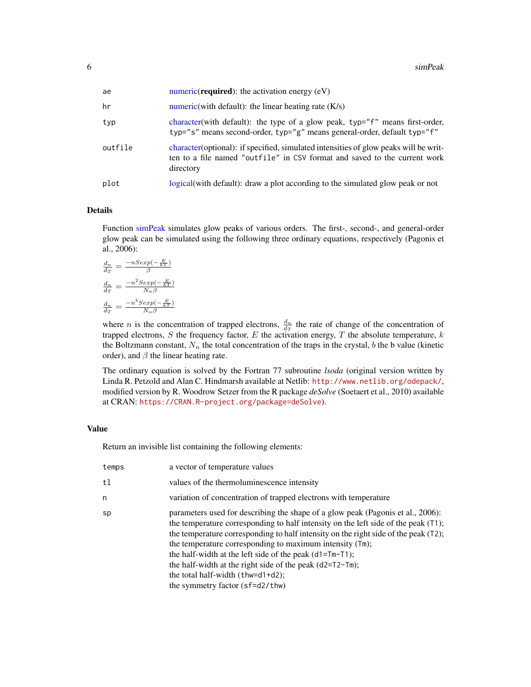<span id="page-5-0"></span>

| ae      | numeric( <b>required</b> ): the activation energy $(eV)$                                                                                                                        |
|---------|---------------------------------------------------------------------------------------------------------------------------------------------------------------------------------|
| hr      | numeric(with default): the linear heating rate $(K/s)$                                                                                                                          |
| typ     | character (with default): the type of a glow peak, typ="f" means first-order,<br>typ="s" means second-order, typ="g" means general-order, default typ="f"                       |
| outfile | character (optional): if specified, simulated intensities of glow peaks will be writ-<br>ten to a file named "outfile" in CSV format and saved to the current work<br>directory |
| plot    | logical(with default): draw a plot according to the simulated glow peak or not                                                                                                  |

#### Details

Function [simPeak](#page-4-1) simulates glow peaks of various orders. The first-, second-, and general-order glow peak can be simulated using the following three ordinary equations, respectively (Pagonis et al., 2006):

$$
\frac{d_n}{d_T} = \frac{-nSexp(-\frac{E}{kT})}{\beta}
$$
\n
$$
\frac{d_n}{d_T} = \frac{-n^2Sexp(-\frac{E}{kT})}{N_n\beta}
$$
\n
$$
\frac{d_n}{d_T} = \frac{-n^bSexp(-\frac{E}{kT})}{N_n\beta}
$$

where *n* is the concentration of trapped electrons,  $\frac{d_n}{dr}$  the rate of change of the concentration of trapped electrons, S the frequency factor, E the activation energy, T the absolute temperature,  $k$ the Boltzmann constant,  $N_n$  the total concentration of the traps in the crystal, b the b value (kinetic order), and  $\beta$  the linear heating rate.

The ordinary equation is solved by the Fortran 77 subroutine *lsoda* (original version written by Linda R. Petzold and Alan C. Hindmarsh available at Netlib: <http://www.netlib.org/odepack/>, modified version by R. Woodrow Setzer from the R package *deSolve* (Soetaert et al., 2010) available at CRAN: <https://CRAN.R-project.org/package=deSolve>).

#### Value

Return an invisible list containing the following elements:

| temps | a vector of temperature values                                                                                                                                                                                                                                                                                                                                                                                                                                                                                                  |
|-------|---------------------------------------------------------------------------------------------------------------------------------------------------------------------------------------------------------------------------------------------------------------------------------------------------------------------------------------------------------------------------------------------------------------------------------------------------------------------------------------------------------------------------------|
| t1    | values of the thermoluminescence intensity                                                                                                                                                                                                                                                                                                                                                                                                                                                                                      |
| n     | variation of concentration of trapped electrons with temperature                                                                                                                                                                                                                                                                                                                                                                                                                                                                |
| sp    | parameters used for describing the shape of a glow peak (Pagonis et al., 2006):<br>the temperature corresponding to half intensity on the left side of the peak (T1);<br>the temperature corresponding to half intensity on the right side of the peak (T2);<br>the temperature corresponding to maximum intensity (Tm);<br>the half-width at the left side of the peak $(d1=Tm-T1)$ ;<br>the half-width at the right side of the peak $(d2=T2-Tm)$ ;<br>the total half-width $(thw=d1+d2);$<br>the symmetry factor (sf=d2/thw) |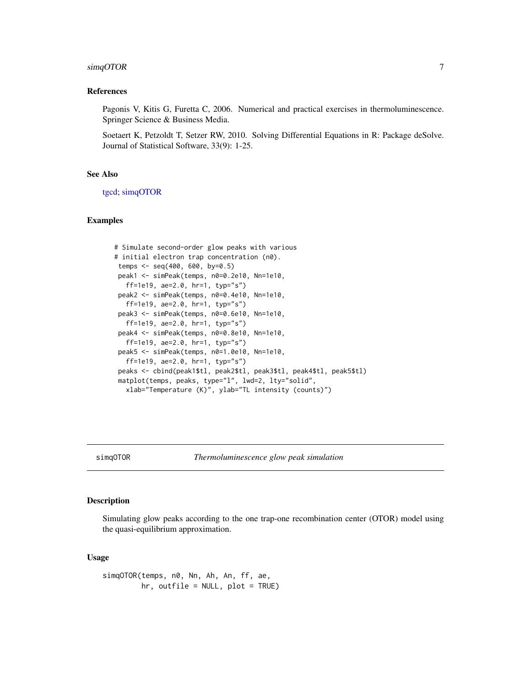#### <span id="page-6-0"></span>simqOTOR 7

#### References

Pagonis V, Kitis G, Furetta C, 2006. Numerical and practical exercises in thermoluminescence. Springer Science & Business Media.

Soetaert K, Petzoldt T, Setzer RW, 2010. Solving Differential Equations in R: Package deSolve. Journal of Statistical Software, 33(9): 1-25.

#### See Also

[tgcd;](#page-8-1) [simqOTOR](#page-6-1)

#### Examples

```
# Simulate second-order glow peaks with various
# initial electron trap concentration (n0).
 temps <- seq(400, 600, by=0.5)
peak1 <- simPeak(temps, n0=0.2e10, Nn=1e10,
  ff=1e19, ae=2.0, hr=1, typ="s")
peak2 <- simPeak(temps, n0=0.4e10, Nn=1e10,
  ff=1e19, ae=2.0, hr=1, typ="s")
peak3 <- simPeak(temps, n0=0.6e10, Nn=1e10,
  ff=1e19, ae=2.0, hr=1, typ="s")
peak4 <- simPeak(temps, n0=0.8e10, Nn=1e10,
  ff=1e19, ae=2.0, hr=1, typ="s")
peak5 <- simPeak(temps, n0=1.0e10, Nn=1e10,
  ff=1e19, ae=2.0, hr=1, typ="s")
peaks <- cbind(peak1$tl, peak2$tl, peak3$tl, peak4$tl, peak5$tl)
matplot(temps, peaks, type="l", lwd=2, lty="solid",
  xlab="Temperature (K)", ylab="TL intensity (counts)")
```
<span id="page-6-1"></span>

#### Description

Simulating glow peaks according to the one trap-one recombination center (OTOR) model using the quasi-equilibrium approximation.

#### Usage

simqOTOR(temps, n0, Nn, Ah, An, ff, ae, hr, outfile = NULL, plot = TRUE)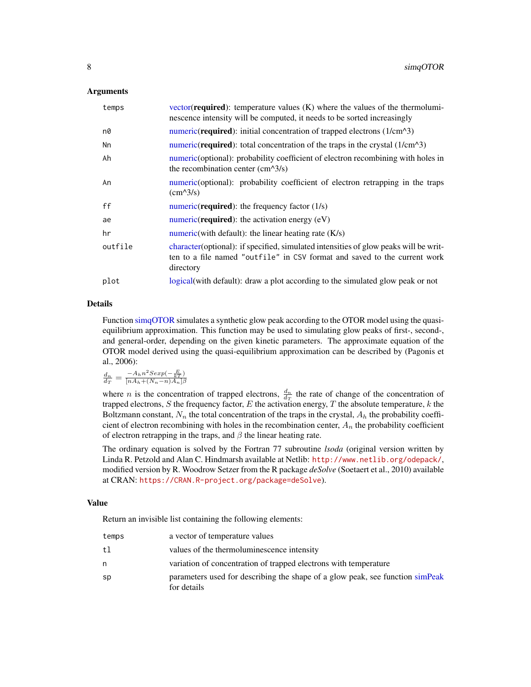#### <span id="page-7-0"></span>Arguments

| temps   | vector( <b>required</b> ): temperature values $(K)$ where the values of the thermolumi-<br>nescence intensity will be computed, it needs to be sorted increasingly             |
|---------|--------------------------------------------------------------------------------------------------------------------------------------------------------------------------------|
| n0      | numeric(required): initial concentration of trapped electrons (1/cm^3)                                                                                                         |
| Nn      | numeric( <b>required</b> ): total concentration of the traps in the crystal $(1/\text{cm}^2)$                                                                                  |
| Ah      | numeric (optional): probability coefficient of electron recombining with holes in<br>the recombination center $\text{(cm}^{\wedge}3\text{/s)}$                                 |
| An      | numeric (optional): probability coefficient of electron retrapping in the traps<br>$\text{(cm}^{\text{A}}\text{3/s)}$                                                          |
| ff      | numeric( <b>required</b> ): the frequency factor $(1/s)$                                                                                                                       |
| ae      | $numeric$ ( <b>required</b> ): the activation energy $(eV)$                                                                                                                    |
| hr      | numeric (with default): the linear heating rate $(K/s)$                                                                                                                        |
| outfile | character(optional): if specified, simulated intensities of glow peaks will be writ-<br>ten to a file named "outfile" in CSV format and saved to the current work<br>directory |
| plot    | logical (with default): draw a plot according to the simulated glow peak or not                                                                                                |

#### Details

Function [simqOTOR](#page-6-1) simulates a synthetic glow peak according to the OTOR model using the quasiequilibrium approximation. This function may be used to simulating glow peaks of first-, second-, and general-order, depending on the given kinetic parameters. The approximate equation of the OTOR model derived using the quasi-equilibrium approximation can be described by (Pagonis et al., 2006):

 $\frac{d_n}{d_T} = \frac{-A_h n^2 \text{S} exp(-\frac{E}{kT})}{[nA_h + (N_n - n)A_n]\beta}$ 

where *n* is the concentration of trapped electrons,  $\frac{d_n}{dr}$  the rate of change of the concentration of trapped electrons, S the frequency factor, E the activation energy, T the absolute temperature,  $k$  the Boltzmann constant,  $N_n$  the total concentration of the traps in the crystal,  $A_h$  the probability coefficient of electron recombining with holes in the recombination center,  $A_n$  the probability coefficient of electron retrapping in the traps, and  $\beta$  the linear heating rate.

The ordinary equation is solved by the Fortran 77 subroutine *lsoda* (original version written by Linda R. Petzold and Alan C. Hindmarsh available at Netlib: <http://www.netlib.org/odepack/>, modified version by R. Woodrow Setzer from the R package *deSolve* (Soetaert et al., 2010) available at CRAN: <https://CRAN.R-project.org/package=deSolve>).

#### Value

Return an invisible list containing the following elements:

| temps | a vector of temperature values                                                                |
|-------|-----------------------------------------------------------------------------------------------|
| tl.   | values of the thermoluminescence intensity                                                    |
| n     | variation of concentration of trapped electrons with temperature                              |
| sp    | parameters used for describing the shape of a glow peak, see function simpleak<br>for details |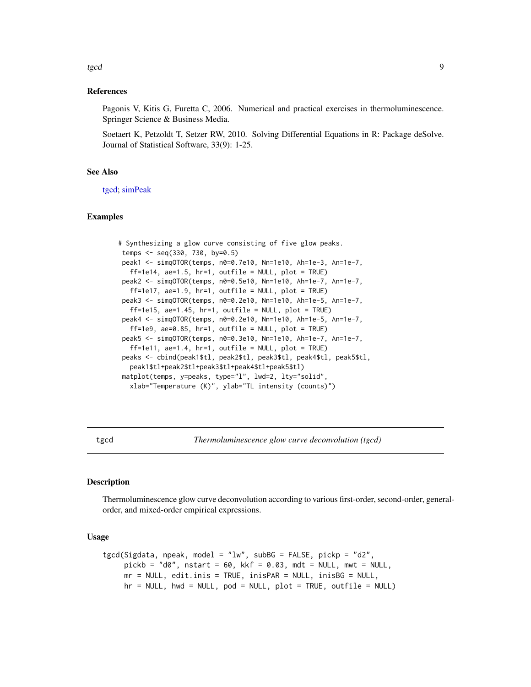<span id="page-8-0"></span>tgcd and the state of the state of the state of the state of the state of the state of the state of the state o

#### References

Pagonis V, Kitis G, Furetta C, 2006. Numerical and practical exercises in thermoluminescence. Springer Science & Business Media.

Soetaert K, Petzoldt T, Setzer RW, 2010. Solving Differential Equations in R: Package deSolve. Journal of Statistical Software, 33(9): 1-25.

#### See Also

[tgcd;](#page-8-1) [simPeak](#page-4-1)

#### Examples

```
# Synthesizing a glow curve consisting of five glow peaks.
 temps <- seq(330, 730, by=0.5)
peak1 <- simqOTOR(temps, n0=0.7e10, Nn=1e10, Ah=1e-3, An=1e-7,
  ff=1e14, ae=1.5, hr=1, outfile = NULL, plot = TRUE)
 peak2 <- simqOTOR(temps, n0=0.5e10, Nn=1e10, Ah=1e-7, An=1e-7,
  ff=1e17, ae=1.9, hr=1, outfile = NULL, plot = TRUE)
 peak3 <- simqOTOR(temps, n0=0.2e10, Nn=1e10, Ah=1e-5, An=1e-7,
  ff=1e15, ae=1.45, hr=1, outfile = NULL, plot = TRUE)
 peak4 <- simqOTOR(temps, n0=0.2e10, Nn=1e10, Ah=1e-5, An=1e-7,
  ff=1e9, ae=0.85, hr=1, outfile = NULL, plot = TRUE)
 peak5 <- simqOTOR(temps, n0=0.3e10, Nn=1e10, Ah=1e-7, An=1e-7,
  ff=1e11, ae=1.4, hr=1, outfile = NULL, plot = TRUE)
 peaks <- cbind(peak1$tl, peak2$tl, peak3$tl, peak4$tl, peak5$tl,
  peak1$tl+peak2$tl+peak3$tl+peak4$tl+peak5$tl)
 matplot(temps, y=peaks, type="l", lwd=2, lty="solid",
  xlab="Temperature (K)", ylab="TL intensity (counts)")
```
<span id="page-8-1"></span>tgcd *Thermoluminescence glow curve deconvolution (tgcd)*

#### **Description**

Thermoluminescence glow curve deconvolution according to various first-order, second-order, generalorder, and mixed-order empirical expressions.

#### Usage

```
tgcd(Sigdata, npeak, model = "lw", subBG = FALSE, pickp = "d2",
     pickb = "d0", nstart = 60, kkf = 0.03, mdt = NULL, mwt = NULL,
     mr = NULL, edit.inis = TRUE, inisPAR = NULL, inisBG = NULL,
     hr = NULL, hwd = NULL, pod = NULL, plot = TRUE, outfile = NULL)
```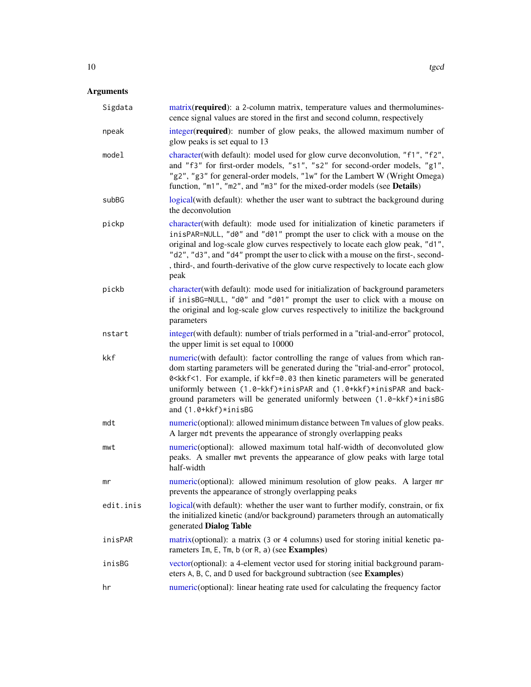### <span id="page-9-0"></span>Arguments

| Sigdata   | matrix(required): a 2-column matrix, temperature values and thermolumines-<br>cence signal values are stored in the first and second column, respectively                                                                                                                                                                                                                                                                                                          |
|-----------|--------------------------------------------------------------------------------------------------------------------------------------------------------------------------------------------------------------------------------------------------------------------------------------------------------------------------------------------------------------------------------------------------------------------------------------------------------------------|
| npeak     | integer(required): number of glow peaks, the allowed maximum number of<br>glow peaks is set equal to 13                                                                                                                                                                                                                                                                                                                                                            |
| model     | character(with default): model used for glow curve deconvolution, "f1", "f2",<br>and "f3" for first-order models, "s1", "s2" for second-order models, "g1",<br>"g2", "g3" for general-order models, "1w" for the Lambert W (Wright Omega)<br>function, "m1", "m2", and "m3" for the mixed-order models (see Details)                                                                                                                                               |
| subBG     | logical(with default): whether the user want to subtract the background during<br>the deconvolution                                                                                                                                                                                                                                                                                                                                                                |
| pickp     | character(with default): mode used for initialization of kinetic parameters if<br>inisPAR=NULL, "d0" and "d01" prompt the user to click with a mouse on the<br>original and log-scale glow curves respectively to locate each glow peak, "d1",<br>"d2", "d3", and "d4" prompt the user to click with a mouse on the first-, second-<br>, third-, and fourth-derivative of the glow curve respectively to locate each glow<br>peak                                  |
| pickb     | character(with default): mode used for initialization of background parameters<br>if inisBG=NULL, "d0" and "d01" prompt the user to click with a mouse on<br>the original and log-scale glow curves respectively to initilize the background<br>parameters                                                                                                                                                                                                         |
| nstart    | integer(with default): number of trials performed in a "trial-and-error" protocol,<br>the upper limit is set equal to 10000                                                                                                                                                                                                                                                                                                                                        |
| kkf       | numeric(with default): factor controlling the range of values from which ran-<br>dom starting parameters will be generated during the "trial-and-error" protocol,<br>0 <kkf<1. be="" example,="" for="" generated<br="" if="" kinetic="" kkf="0.03" parameters="" then="" will="">uniformly between (1.0-kkf)*inisPAR and (1.0+kkf)*inisPAR and back-<br/>ground parameters will be generated uniformly between (1.0-kkf)*inisBG<br/>and (1.0+kkf)*inisBG</kkf<1.> |
| mdt       | numeric(optional): allowed minimum distance between Tm values of glow peaks.<br>A larger mdt prevents the appearance of strongly overlapping peaks                                                                                                                                                                                                                                                                                                                 |
| mwt       | numeric(optional): allowed maximum total half-width of deconvoluted glow<br>peaks. A smaller mwt prevents the appearance of glow peaks with large total<br>half-width                                                                                                                                                                                                                                                                                              |
| mr        | numeric(optional): allowed minimum resolution of glow peaks. A larger mr<br>prevents the appearance of strongly overlapping peaks                                                                                                                                                                                                                                                                                                                                  |
| edit.inis | logical(with default): whether the user want to further modify, constrain, or fix<br>the initialized kinetic (and/or background) parameters through an automatically<br>generated Dialog Table                                                                                                                                                                                                                                                                     |
| inisPAR   | matrix (optional): a matrix (3 or 4 columns) used for storing initial kenetic pa-<br>rameters Im, E, Tm, b (or R, a) (see Examples)                                                                                                                                                                                                                                                                                                                                |
| inisBG    | vector(optional): a 4-element vector used for storing initial background param-<br>eters A, B, C, and D used for background subtraction (see Examples)                                                                                                                                                                                                                                                                                                             |
| hr        | numeric(optional): linear heating rate used for calculating the frequency factor                                                                                                                                                                                                                                                                                                                                                                                   |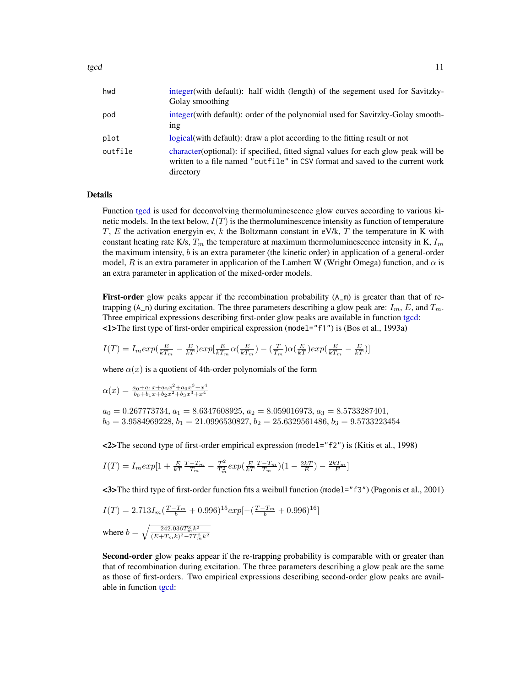<span id="page-10-0"></span>

| hwd     | integer (with default): half width (length) of the segement used for Savitzky-<br>Golay smoothing                                                                                 |
|---------|-----------------------------------------------------------------------------------------------------------------------------------------------------------------------------------|
| pod     | integer (with default): order of the polynomial used for Savitzky-Golay smooth-<br>1 <sup>n</sup>                                                                                 |
| plot    | logical (with default): draw a plot according to the fitting result or not                                                                                                        |
| outfile | character (optional): if specified, fitted signal values for each glow peak will be<br>written to a file named "outfile" in CSV format and saved to the current work<br>directory |

#### Details

Function [tgcd](#page-8-1) is used for deconvolving thermoluminescence glow curves according to various kinetic models. In the text below,  $I(T)$  is the thermoluminescence intensity as function of temperature  $T$ ,  $E$  the activation energyin ev,  $k$  the Boltzmann constant in eV/k,  $T$  the temperature in K with constant heating rate K/s,  $T_m$  the temperature at maximum thermoluminescence intensity in K,  $I_m$ the maximum intensity, b is an extra parameter (the kinetic order) in application of a general-order model, R is an extra parameter in application of the Lambert W (Wright Omega) function, and  $\alpha$  is an extra parameter in application of the mixed-order models.

**First-order** glow peaks appear if the recombination probability  $(A_m)$  is greater than that of retrapping (A\_n) during excitation. The three parameters describing a glow peak are:  $I_m$ , E, and  $T_m$ . Three empirical expressions describing first-order glow peaks are available in function [tgcd:](#page-8-1) <1>The first type of first-order empirical expression (model="f1") is (Bos et al., 1993a)

$$
I(T)=I_m exp(\frac{E}{kT_m}-\frac{E}{kT})exp[\frac{E}{kT_m}\alpha(\frac{E}{kT_m})-(\frac{T}{T_m})\alpha(\frac{E}{kT})exp(\frac{E}{kT_m}-\frac{E}{kT})]
$$

where  $\alpha(x)$  is a quotient of 4th-order polynomials of the form

$$
\alpha(x) = \frac{a_0 + a_1 x + a_2 x^2 + a_3 x^3 + x^4}{b_0 + b_1 x + b_2 x^2 + b_3 x^3 + x^4}
$$

 $a_0 = 0.267773734, a_1 = 8.6347608925, a_2 = 8.059016973, a_3 = 8.5733287401,$  $b_0 = 3.9584969228, b_1 = 21.0996530827, b_2 = 25.6329561486, b_3 = 9.5733223454$ 

<2>The second type of first-order empirical expression (model="f2") is (Kitis et al., 1998)

$$
I(T) = I_m exp[1 + \frac{E}{kT} \frac{T - T_m}{T_m} - \frac{T^2}{T_m^2} exp(\frac{E}{kT} \frac{T - T_m}{T_m})(1 - \frac{2kT}{E}) - \frac{2kT_m}{E}]
$$

<3>The third type of first-order function fits a weibull function (model="f3") (Pagonis et al., 2001)

$$
I(T) = 2.713I_m \left(\frac{T - T_m}{b} + 0.996\right)^{15} exp\left[-\left(\frac{T - T_m}{b} + 0.996\right)^{16}\right]
$$
  
where  $b = \sqrt{\frac{242.036T_m^3 k^2}{(E + T_m k)^2 - 7T_m^2 k^2}}$ 

Second-order glow peaks appear if the re-trapping probability is comparable with or greater than that of recombination during excitation. The three parameters describing a glow peak are the same as those of first-orders. Two empirical expressions describing second-order glow peaks are available in function [tgcd:](#page-8-1)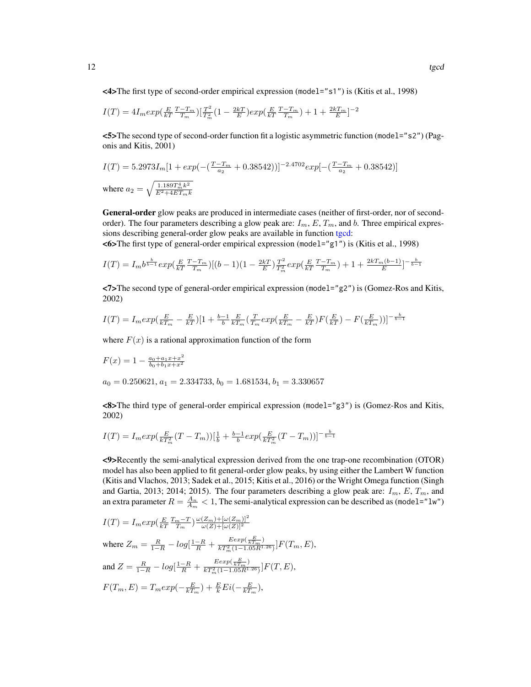<4>The first type of second-order empirical expression (model="s1") is (Kitis et al., 1998)

$$
I(T) = 4I_m exp(\frac{E}{kT} \frac{T - T_m}{T_m})[\frac{T^2}{T_m^2} (1 - \frac{2kT}{E}) exp(\frac{E}{kT} \frac{T - T_m}{T_m}) + 1 + \frac{2kT_m}{E}]^{-2}
$$

<5>The second type of second-order function fit a logistic asymmetric function (model="s2") (Pagonis and Kitis, 2001)

$$
I(T) = 5.2973I_m[1 + exp(-(\frac{T - T_m}{a_2} + 0.38542))]^{-2.4702}exp[-(\frac{T - T_m}{a_2} + 0.38542)]
$$
  
where  $a_2 = \sqrt{\frac{1.189T_m^4 k^2}{E^2 + 4ET_m k}}$ 

General-order glow peaks are produced in intermediate cases (neither of first-order, nor of secondorder). The four parameters describing a glow peak are:  $I_m$ ,  $E$ ,  $T_m$ , and b. Three empirical expressions describing general-order glow peaks are available in function [tgcd:](#page-8-1)

<6>The first type of general-order empirical expression (model="g1") is (Kitis et al., 1998)

$$
I(T) = I_m b^{\frac{b}{b-1}} exp(\frac{E T - T_m}{T_m}) [(b-1)(1 - \frac{2kT}{E}) \frac{T^2}{T_m^2} exp(\frac{E T - T_m}{kT T_m}) + 1 + \frac{2kT_m(b-1)}{E}]^{-\frac{b}{b-1}}
$$

 $\langle 7 \rangle$ The second type of general-order empirical expression (model="g2") is (Gomez-Ros and Kitis, 2002)

$$
I(T) = I_m exp(\frac{E}{kT_m} - \frac{E}{kT})[1 + \frac{b-1}{b} \frac{E}{kT_m} (\frac{T}{T_m} exp(\frac{E}{kT_m} - \frac{E}{kT})F(\frac{E}{kT}) - F(\frac{E}{kT_m}))]^{-\frac{b}{b-1}}
$$

where  $F(x)$  is a rational approximation function of the form

$$
F(x) = 1 - \frac{a_0 + a_1 x + x^2}{b_0 + b_1 x + x^2}
$$
  
\n
$$
a_0 = 0.250621, a_1 = 2.334733, b_0 = 1.681534, b_1 = 3.330657
$$

<8>The third type of general-order empirical expression (model="g3") is (Gomez-Ros and Kitis, 2002)

$$
I(T) = I_m exp(\frac{E}{kT_m^2}(T - T_m))[\frac{1}{b} + \frac{b-1}{b}exp(\frac{E}{kT_m^2}(T - T_m))]^{-\frac{b}{b-1}}
$$

<9>Recently the semi-analytical expression derived from the one trap-one recombination (OTOR) model has also been applied to fit general-order glow peaks, by using either the Lambert W function (Kitis and Vlachos, 2013; Sadek et al., 2015; Kitis et al., 2016) or the Wright Omega function (Singh and Gartia, 2013; 2014; 2015). The four parameters describing a glow peak are:  $I_m$ ,  $E$ ,  $T_m$ , and an extra parameter  $R = \frac{A_n}{A_m} < 1$ , The semi-analytical expression can be described as (model="lw")

$$
I(T) = I_m exp(\frac{E T_m - T}{T_m}) \frac{\omega(Z_m) + [\omega(Z_m)]^2}{\omega(Z) + [\omega(Z)]^2}
$$

where 
$$
Z_m = \frac{R}{1-R} - log\left[\frac{1-R}{R} + \frac{Eexp(\frac{E}{kT_m})}{kT_m^2(1-1.05R^{1.26})}\right]F(T_m, E),
$$
  
and  $Z = \frac{R}{1-R} - log\left[\frac{1-R}{R} + \frac{Eexp(\frac{E}{kT_m})}{kT_m^2(1-1.05R^{1.26})}\right]F(T, E),$   
 $F(T_m, E) = T_m exp(-\frac{E}{kT_m}) + \frac{E}{k} Ei(-\frac{E}{kT_m}),$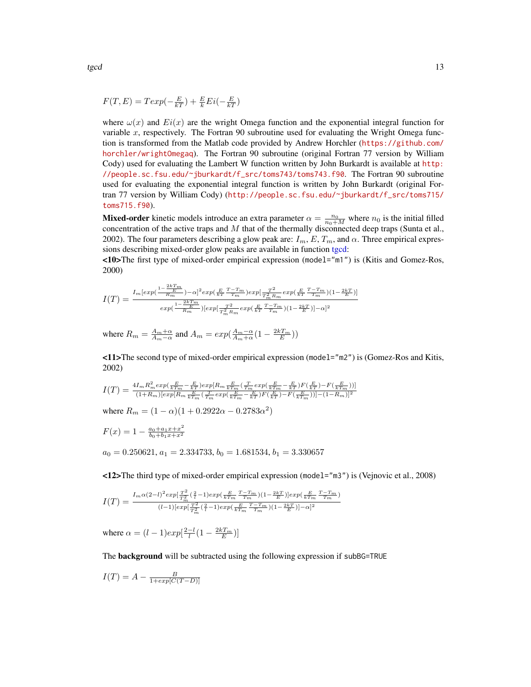$$
F(T, E) = T \exp(-\frac{E}{kT}) + \frac{E}{k} Ei(-\frac{E}{kT})
$$

where  $\omega(x)$  and  $Ei(x)$  are the wright Omega function and the exponential integral function for variable  $x$ , respectively. The Fortran 90 subroutine used for evaluating the Wright Omega function is transformed from the Matlab code provided by Andrew Horchler ([https://github.com/](https://github.com/horchler/wrightOmegaq) [horchler/wrightOmegaq](https://github.com/horchler/wrightOmegaq)). The Fortran 90 subroutine (original Fortran 77 version by William Cody) used for evaluating the Lambert W function written by John Burkardt is available at [http:](http://people.sc.fsu.edu/~jburkardt/f_src/toms743/toms743.f90) [//people.sc.fsu.edu/~jburkardt/f\\_src/toms743/toms743.f90](http://people.sc.fsu.edu/~jburkardt/f_src/toms743/toms743.f90). The Fortran 90 subroutine used for evaluating the exponential integral function is written by John Burkardt (original Fortran 77 version by William Cody) ([http://people.sc.fsu.edu/~jburkardt/f\\_src/toms715/](http://people.sc.fsu.edu/~jburkardt/f_src/toms715/toms715.f90) [toms715.f90](http://people.sc.fsu.edu/~jburkardt/f_src/toms715/toms715.f90)).

**Mixed-order** kinetic models introduce an extra parameter  $\alpha = \frac{n_0}{n_0 + M}$  where  $n_0$  is the initial filled concentration of the active traps and  $M$  that of the thermally disconnected deep traps (Sunta et al., 2002). The four parameters describing a glow peak are:  $I_m$ ,  $E$ ,  $T_m$ , and  $\alpha$ . Three empirical expressions describing mixed-order glow peaks are available in function [tgcd:](#page-8-1)

<10>The first type of mixed-order empirical expression (model="m1") is (Kitis and Gomez-Ros, 2000)

$$
I(T) = \frac{I_m[exp(\frac{1-2kT_m}{R_m}) - \alpha]^2 exp(\frac{E}{kT} \frac{T-T_m}{T_m}) exp(\frac{T^2}{T_m^2 R_m} exp(\frac{E}{kT} \frac{T-T_m}{T_m}) (1 - \frac{2kT}{E}))}{exp(\frac{1-2kT_m}{R_m})[exp(\frac{T^2}{T_m^2 R_m} exp(\frac{E}{kT} \frac{T-T_m}{T_m}) (1 - \frac{2kT}{E})] - \alpha]^2}
$$

where  $R_m = \frac{A_m + \alpha}{A_m - \alpha}$  and  $A_m = exp(\frac{A_m - \alpha}{A_m + \alpha}(1 - \frac{2kT_m}{E}))$ 

<11>The second type of mixed-order empirical expression (model="m2") is (Gomez-Ros and Kitis, 2002)

$$
I(T)=\tfrac{4I_mR_m^2exp(\frac{E}{kT_m}-\frac{E}{kT})exp[R_m\frac{E}{kT_m}( \frac{T}{T_m}exp(\frac{E}{kT_m}-\frac{E}{kT})F(\frac{E}{kT})-F(\frac{E}{kT_m}))]}{(1+R_m)[exp[R_m\frac{E}{kT_m}( \frac{T}{T_m}exp(\frac{E}{kT_m}-\frac{E}{kT})F(\frac{E}{kT})-F(\frac{E}{kT_m}))]-(1-R_m)]^2}
$$

where  $R_m = (1 - \alpha)(1 + 0.2922\alpha - 0.2783\alpha^2)$ 

$$
F(x) = 1 - \frac{a_0 + a_1 x + x^2}{b_0 + b_1 x + x^2}
$$

 $a_0 = 0.250621, a_1 = 2.334733, b_0 = 1.681534, b_1 = 3.330657$ 

<12>The third type of mixed-order empirical expression (model="m3") is (Vejnovic et al., 2008)

$$
I(T) = \frac{I_m \alpha (2-l)^2 exp[\frac{T^2}{T_m^2}(\frac{2}{l}-1) exp(\frac{E}{kT_m}\frac{T-T_m}{T_m})(1-\frac{2kT}{E})] exp(\frac{E}{kT_m}\frac{T-T_m}{T_m})}{(l-1)[exp[\frac{T^2}{T_m^2}(\frac{2}{l}-1) exp(\frac{E}{kT_m}\frac{T-T_m}{T_m})(1-\frac{2kT}{E})]-\alpha]^2}
$$

where  $\alpha = (l-1)exp[\frac{2-l}{l}(1-\frac{2kT_m}{E})]$ 

The **background** will be subtracted using the following expression if subBG=TRUE

$$
I(T) = A - \frac{B}{1 + exp[C(T - D)]}
$$

<span id="page-12-0"></span>tgcd  $\qquad$  13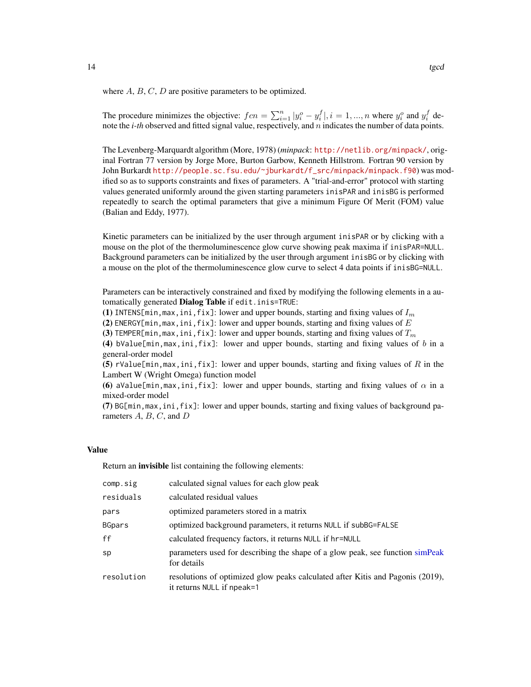<span id="page-13-0"></span>where  $A, B, C, D$  are positive parameters to be optimized.

The procedure minimizes the objective:  $fcn = \sum_{i=1}^{n} |y_i^o - y_i^f|, i = 1, ..., n$  where  $y_i^o$  and  $y_i^f$  denote the *i-th* observed and fitted signal value, respectively, and n indicates the number of data points.

The Levenberg-Marquardt algorithm (More, 1978) (*minpack*: <http://netlib.org/minpack/>, original Fortran 77 version by Jorge More, Burton Garbow, Kenneth Hillstrom. Fortran 90 version by John Burkardt [http://people.sc.fsu.edu/~jburkardt/f\\_src/minpack/minpack.f90](http://people.sc.fsu.edu/~jburkardt/f_src/minpack/minpack.f90)) was modified so as to supports constraints and fixes of parameters. A "trial-and-error" protocol with starting values generated uniformly around the given starting parameters inisPAR and inisBG is performed repeatedly to search the optimal parameters that give a minimum Figure Of Merit (FOM) value (Balian and Eddy, 1977).

Kinetic parameters can be initialized by the user through argument inisPAR or by clicking with a mouse on the plot of the thermoluminescence glow curve showing peak maxima if inisPAR=NULL. Background parameters can be initialized by the user through argument inisBG or by clicking with a mouse on the plot of the thermoluminescence glow curve to select 4 data points if inisBG=NULL.

Parameters can be interactively constrained and fixed by modifying the following elements in a automatically generated **Dialog Table** if edit.inis=TRUE:

(1) INTENS[min, max, ini, fix]: lower and upper bounds, starting and fixing values of  $I_m$ 

(2) ENERGY[min, max, ini, fix]: lower and upper bounds, starting and fixing values of  $E$ 

(3) TEMPER[min, max, ini, fix]: lower and upper bounds, starting and fixing values of  $T_m$ 

(4) bValue[min, max, ini, fix]: lower and upper bounds, starting and fixing values of  $b$  in a general-order model

(5) rValue[min,max,ini,fix]: lower and upper bounds, starting and fixing values of R in the Lambert W (Wright Omega) function model

(6) aValue[min,max,ini,fix]: lower and upper bounds, starting and fixing values of  $\alpha$  in a mixed-order model

(7) BG[min,max,ini,fix]: lower and upper bounds, starting and fixing values of background parameters  $A, B, C$ , and  $D$ 

#### Value

Return an *invisible* list containing the following elements:

| comp.sig      | calculated signal values for each glow peak                                                                  |
|---------------|--------------------------------------------------------------------------------------------------------------|
| residuals     | calculated residual values                                                                                   |
| pars          | optimized parameters stored in a matrix                                                                      |
| <b>BGpars</b> | optimized background parameters, it returns NULL if subBG=FALSE                                              |
| ff            | calculated frequency factors, it returns NULL if hr=NULL                                                     |
| sp            | parameters used for describing the shape of a glow peak, see function simpleak<br>for details                |
| resolution    | resolutions of optimized glow peaks calculated after Kitis and Pagonis (2019),<br>it returns NULL if npeak=1 |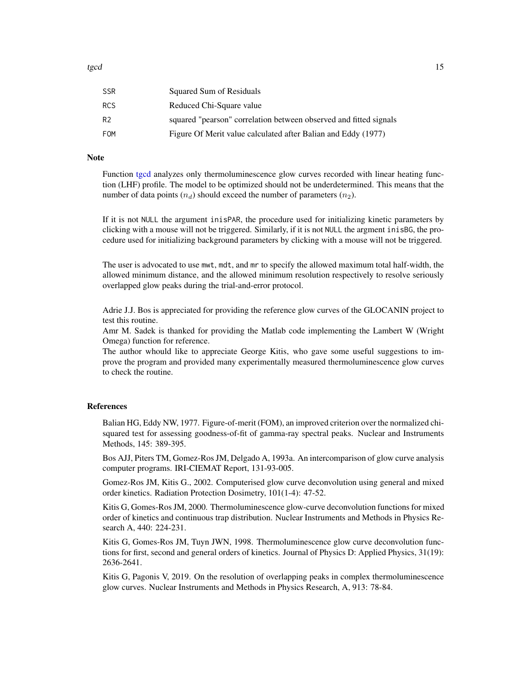<span id="page-14-0"></span>

| <b>SSR</b>     | Squared Sum of Residuals                                          |
|----------------|-------------------------------------------------------------------|
| <b>RCS</b>     | Reduced Chi-Square value                                          |
| R <sub>2</sub> | squared "pearson" correlation between observed and fitted signals |
| <b>FOM</b>     | Figure Of Merit value calculated after Balian and Eddy (1977)     |

#### Note

Function [tgcd](#page-8-1) analyzes only thermoluminescence glow curves recorded with linear heating function (LHF) profile. The model to be optimized should not be underdetermined. This means that the number of data points  $(n_d)$  should exceed the number of parameters  $(n_2)$ .

If it is not NULL the argument inisPAR, the procedure used for initializing kinetic parameters by clicking with a mouse will not be triggered. Similarly, if it is not NULL the argment inisBG, the procedure used for initializing background parameters by clicking with a mouse will not be triggered.

The user is advocated to use mwt, mdt, and mr to specify the allowed maximum total half-width, the allowed minimum distance, and the allowed minimum resolution respectively to resolve seriously overlapped glow peaks during the trial-and-error protocol.

Adrie J.J. Bos is appreciated for providing the reference glow curves of the GLOCANIN project to test this routine.

Amr M. Sadek is thanked for providing the Matlab code implementing the Lambert W (Wright Omega) function for reference.

The author whould like to appreciate George Kitis, who gave some useful suggestions to improve the program and provided many experimentally measured thermoluminescence glow curves to check the routine.

#### References

Balian HG, Eddy NW, 1977. Figure-of-merit (FOM), an improved criterion over the normalized chisquared test for assessing goodness-of-fit of gamma-ray spectral peaks. Nuclear and Instruments Methods, 145: 389-395.

Bos AJJ, Piters TM, Gomez-Ros JM, Delgado A, 1993a. An intercomparison of glow curve analysis computer programs. IRI-CIEMAT Report, 131-93-005.

Gomez-Ros JM, Kitis G., 2002. Computerised glow curve deconvolution using general and mixed order kinetics. Radiation Protection Dosimetry, 101(1-4): 47-52.

Kitis G, Gomes-Ros JM, 2000. Thermoluminescence glow-curve deconvolution functions for mixed order of kinetics and continuous trap distribution. Nuclear Instruments and Methods in Physics Research A, 440: 224-231.

Kitis G, Gomes-Ros JM, Tuyn JWN, 1998. Thermoluminescence glow curve deconvolution functions for first, second and general orders of kinetics. Journal of Physics D: Applied Physics, 31(19): 2636-2641.

Kitis G, Pagonis V, 2019. On the resolution of overlapping peaks in complex thermoluminescence glow curves. Nuclear Instruments and Methods in Physics Research, A, 913: 78-84.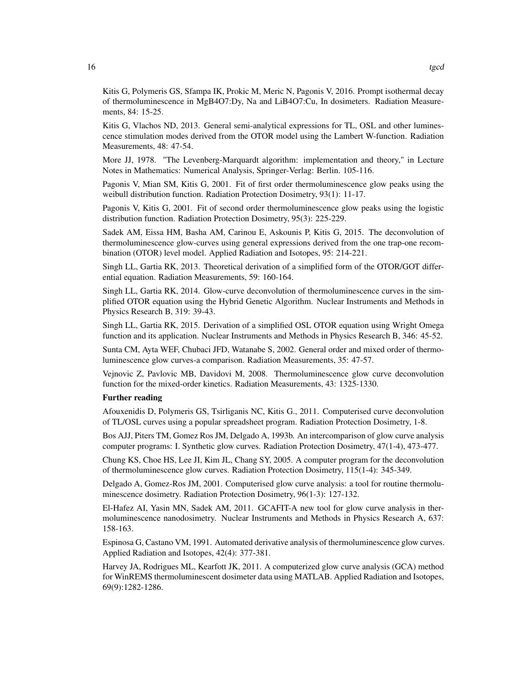Kitis G, Polymeris GS, Sfampa IK, Prokic M, Meric N, Pagonis V, 2016. Prompt isothermal decay of thermoluminescence in MgB4O7:Dy, Na and LiB4O7:Cu, In dosimeters. Radiation Measurements, 84: 15-25.

Kitis G, Vlachos ND, 2013. General semi-analytical expressions for TL, OSL and other luminescence stimulation modes derived from the OTOR model using the Lambert W-function. Radiation Measurements, 48: 47-54.

More JJ, 1978. "The Levenberg-Marquardt algorithm: implementation and theory," in Lecture Notes in Mathematics: Numerical Analysis, Springer-Verlag: Berlin. 105-116.

Pagonis V, Mian SM, Kitis G, 2001. Fit of first order thermoluminescence glow peaks using the weibull distribution function. Radiation Protection Dosimetry, 93(1): 11-17.

Pagonis V, Kitis G, 2001. Fit of second order thermoluminescence glow peaks using the logistic distribution function. Radiation Protection Dosimetry, 95(3): 225-229.

Sadek AM, Eissa HM, Basha AM, Carinou E, Askounis P, Kitis G, 2015. The deconvolution of thermoluminescence glow-curves using general expressions derived from the one trap-one recombination (OTOR) level model. Applied Radiation and Isotopes, 95: 214-221.

Singh LL, Gartia RK, 2013. Theoretical derivation of a simplified form of the OTOR/GOT differential equation. Radiation Measurements, 59: 160-164.

Singh LL, Gartia RK, 2014. Glow-curve deconvolution of thermoluminescence curves in the simplified OTOR equation using the Hybrid Genetic Algorithm. Nuclear Instruments and Methods in Physics Research B, 319: 39-43.

Singh LL, Gartia RK, 2015. Derivation of a simplified OSL OTOR equation using Wright Omega function and its application. Nuclear Instruments and Methods in Physics Research B, 346: 45-52.

Sunta CM, Ayta WEF, Chubaci JFD, Watanabe S, 2002. General order and mixed order of thermoluminescence glow curves-a comparison. Radiation Measurements, 35: 47-57.

Vejnovic Z, Pavlovic MB, Davidovi M, 2008. Thermoluminescence glow curve deconvolution function for the mixed-order kinetics. Radiation Measurements, 43: 1325-1330.

#### Further reading

Afouxenidis D, Polymeris GS, Tsirliganis NC, Kitis G., 2011. Computerised curve deconvolution of TL/OSL curves using a popular spreadsheet program. Radiation Protection Dosimetry, 1-8.

Bos AJJ, Piters TM, Gomez Ros JM, Delgado A, 1993b. An intercomparison of glow curve analysis computer programs: I. Synthetic glow curves. Radiation Protection Dosimetry, 47(1-4), 473-477.

Chung KS, Choe HS, Lee JI, Kim JL, Chang SY, 2005. A computer program for the deconvolution of thermoluminescence glow curves. Radiation Protection Dosimetry, 115(1-4): 345-349.

Delgado A, Gomez-Ros JM, 2001. Computerised glow curve analysis: a tool for routine thermoluminescence dosimetry. Radiation Protection Dosimetry, 96(1-3): 127-132.

El-Hafez AI, Yasin MN, Sadek AM, 2011. GCAFIT-A new tool for glow curve analysis in thermoluminescence nanodosimetry. Nuclear Instruments and Methods in Physics Research A, 637: 158-163.

Espinosa G, Castano VM, 1991. Automated derivative analysis of thermoluminescence glow curves. Applied Radiation and Isotopes, 42(4): 377-381.

Harvey JA, Rodrigues ML, Kearfott JK, 2011. A computerized glow curve analysis (GCA) method for WinREMS thermoluminescent dosimeter data using MATLAB. Applied Radiation and Isotopes, 69(9):1282-1286.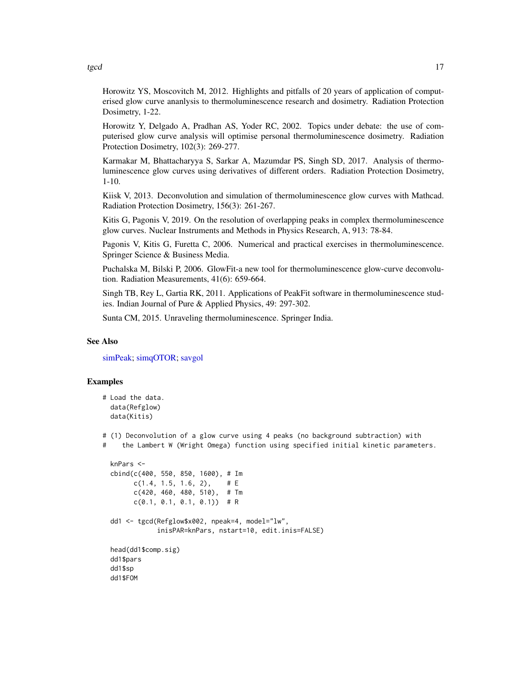Horowitz YS, Moscovitch M, 2012. Highlights and pitfalls of 20 years of application of computerised glow curve ananlysis to thermoluminescence research and dosimetry. Radiation Protection Dosimetry, 1-22.

Horowitz Y, Delgado A, Pradhan AS, Yoder RC, 2002. Topics under debate: the use of computerised glow curve analysis will optimise personal thermoluminescence dosimetry. Radiation Protection Dosimetry, 102(3): 269-277.

Karmakar M, Bhattacharyya S, Sarkar A, Mazumdar PS, Singh SD, 2017. Analysis of thermoluminescence glow curves using derivatives of different orders. Radiation Protection Dosimetry, 1-10.

Kiisk V, 2013. Deconvolution and simulation of thermoluminescence glow curves with Mathcad. Radiation Protection Dosimetry, 156(3): 261-267.

Kitis G, Pagonis V, 2019. On the resolution of overlapping peaks in complex thermoluminescence glow curves. Nuclear Instruments and Methods in Physics Research, A, 913: 78-84.

Pagonis V, Kitis G, Furetta C, 2006. Numerical and practical exercises in thermoluminescence. Springer Science & Business Media.

Puchalska M, Bilski P, 2006. GlowFit-a new tool for thermoluminescence glow-curve deconvolution. Radiation Measurements, 41(6): 659-664.

Singh TB, Rey L, Gartia RK, 2011. Applications of PeakFit software in thermoluminescence studies. Indian Journal of Pure & Applied Physics, 49: 297-302.

Sunta CM, 2015. Unraveling thermoluminescence. Springer India.

#### See Also

[simPeak;](#page-4-1) [simqOTOR;](#page-6-1) [savgol](#page-3-1)

#### Examples

```
# Load the data.
 data(Refglow)
 data(Kitis)
```
# (1) Deconvolution of a glow curve using 4 peaks (no background subtraction) with

# the Lambert W (Wright Omega) function using specified initial kinetic parameters.

```
knPars <-
cbind(c(400, 550, 850, 1600), # Im
      c(1.4, 1.5, 1.6, 2), \# Ec(420, 460, 480, 510), # Tm
      c(0.1, 0.1, 0.1, 0.1)) # R
dd1 <- tgcd(Refglow$x002, npeak=4, model="lw",
            inisPAR=knPars, nstart=10, edit.inis=FALSE)
head(dd1$comp.sig)
dd1$pars
dd1$sp
dd1$FOM
```
<span id="page-16-0"></span>tgcd the contract of the contract of the contract of the contract of the contract of the contract of the contract of the contract of the contract of the contract of the contract of the contract of the contract of the contr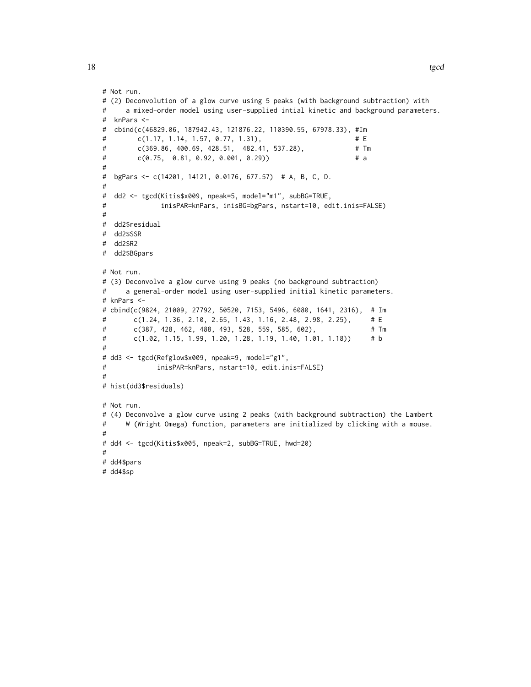```
# Not run.
# (2) Deconvolution of a glow curve using 5 peaks (with background subtraction) with
# a mixed-order model using user-supplied intial kinetic and background parameters.
# knPars <-
# cbind(c(46829.06, 187942.43, 121876.22, 110390.55, 67978.33), #Im
# c(1.17, 1.14, 1.57, 0.77, 1.31), # E
# c(369.86, 400.69, 428.51, 482.41, 537.28), # Tm
# c(0.75, 0.81, 0.92, 0.001, 0.29)) # a
#
# bgPars <- c(14201, 14121, 0.0176, 677.57) # A, B, C, D.
#
# dd2 <- tgcd(Kitis$x009, npeak=5, model="m1", subBG=TRUE,
# inisPAR=knPars, inisBG=bgPars, nstart=10, edit.inis=FALSE)
#
# dd2$residual
# dd2$SSR
# dd2$R2
# dd2$BGpars
# Not run.
# (3) Deconvolve a glow curve using 9 peaks (no background subtraction)
# a general-order model using user-supplied initial kinetic parameters.
# knPars <-
# cbind(c(9824, 21009, 27792, 50520, 7153, 5496, 6080, 1641, 2316), # Im
# c(1.24, 1.36, 2.10, 2.65, 1.43, 1.16, 2.48, 2.98, 2.25), # E
# c(387, 428, 462, 488, 493, 528, 559, 585, 602), # Tm
# c(1.02, 1.15, 1.99, 1.20, 1.28, 1.19, 1.40, 1.01, 1.18)) # b
#
# dd3 <- tgcd(Refglow$x009, npeak=9, model="g1",
# inisPAR=knPars, nstart=10, edit.inis=FALSE)
#
# hist(dd3$residuals)
# Not run.
# (4) Deconvolve a glow curve using 2 peaks (with background subtraction) the Lambert
# W (Wright Omega) function, parameters are initialized by clicking with a mouse.
#
# dd4 <- tgcd(Kitis$x005, npeak=2, subBG=TRUE, hwd=20)
#
# dd4$pars
# dd4$sp
```